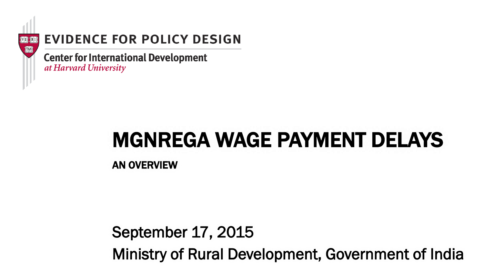

## **EVIDENCE FOR POLICY DESIGN**

**Center for International Development** at Harvard University

## MGNREGA WAGE PAYMENT DELAYS

AN OVERVIEW

## September 17, 2015 Ministry of Rural Development, Government of India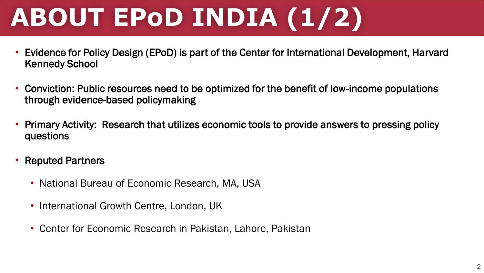# **ABOUT EPoD INDIA (1/2)**

- Evidence for Policy Design (EPoD) is part of the Center for International Development, Harvard Kennedy School
- Conviction: Public resources need to be optimized for the benefit of low-income populations through evidence-based policymaking
- Primary Activity: Research that utilizes economic tools to provide answers to pressing policy questions
- Reputed Partners
	- National Bureau of Economic Research, MA, USA
	- International Growth Centre, London, UK
	- Center for Economic Research in Pakistan, Lahore, Pakistan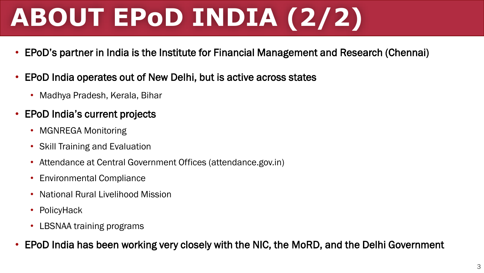# **ABOUT EPoD INDIA (2/2)**

- EPoD's partner in India is the Institute for Financial Management and Research (Chennai)
- EPoD India operates out of New Delhi, but is active across states
	- Madhya Pradesh, Kerala, Bihar
- EPoD India's current projects
	- MGNREGA Monitoring
	- Skill Training and Evaluation
	- Attendance at Central Government Offices (attendance.gov.in)
	- Environmental Compliance
	- National Rural Livelihood Mission
	- PolicyHack
	- LBSNAA training programs
- EPoD India has been working very closely with the NIC, the MoRD, and the Delhi Government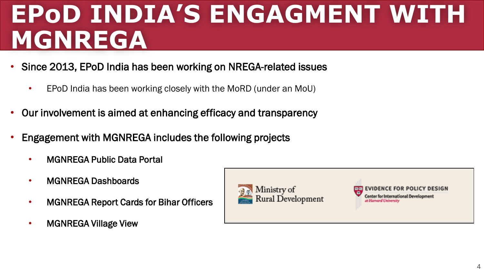## **EPoD INDIA'S ENGAGMENT WITH MGNREGA**

- Since 2013, EPoD India has been working on NREGA-related issues
	- EPoD India has been working closely with the MoRD (under an MoU)
- Our involvement is aimed at enhancing efficacy and transparency
- Engagement with MGNREGA includes the following projects
	- MGNREGA Public Data Portal
	- MGNREGA Dashboards
	- MGNREGA Report Cards for Bihar Officers
	- MGNREGA Village View

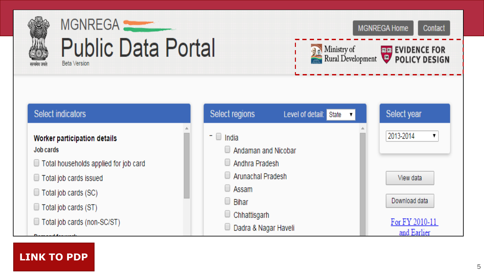



**MGNREGA Home** Contact

Ministry of **THE EVIDENCE FOR**<br>Rural Development **POLICY DESIGN** 

## **Select indicators** Worker participation details Job cards Total households applied for job card □ Total job cards issued

- $\Box$  Total job cards (SC)
- □ Total job cards (ST)

□ Total job cards (non-SC/ST)

| Select regions                                                                             | Level of detail: | State | Select year                   |
|--------------------------------------------------------------------------------------------|------------------|-------|-------------------------------|
| India                                                                                      |                  |       | 2013-2014                     |
| Andaman and Nicobar<br>Andhra Pradesh<br><b>Arunachal Pradesh</b><br>Assam<br><b>Bihar</b> |                  |       |                               |
|                                                                                            |                  |       |                               |
|                                                                                            |                  |       | View data                     |
|                                                                                            |                  |       |                               |
|                                                                                            |                  |       | Download data                 |
| Chhattisgarh                                                                               |                  |       |                               |
| Dadra & Nagar Haveli                                                                       |                  |       | For FY 2010-11<br>and Earlier |

### **[LINK TO PDP](http://mnregaweb4.nic.in/netnrega/dynamic2/dynamicreport_new4.aspx)**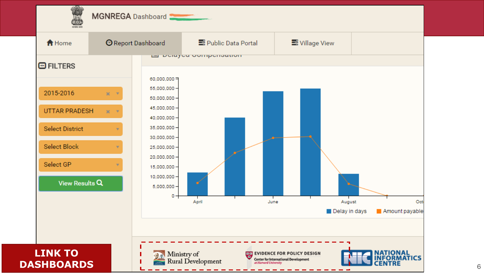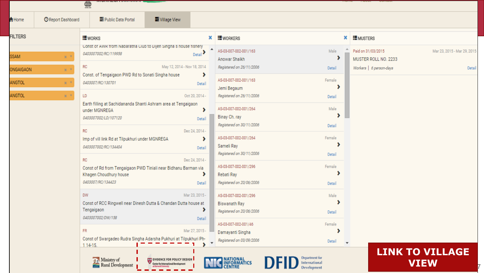|                |                  | $\overline{\mathbb{Q}}$                                                                             |                                                                       |                      |                                                     |                                     |                                            |                                       |  |
|----------------|------------------|-----------------------------------------------------------------------------------------------------|-----------------------------------------------------------------------|----------------------|-----------------------------------------------------|-------------------------------------|--------------------------------------------|---------------------------------------|--|
| <b>A</b> Home  | Report Dashboard | <b>E</b> Public Data Portal                                                                         | S Village View                                                        |                      |                                                     |                                     |                                            |                                       |  |
| <b>FILTERS</b> |                  | <b>!</b> WORKS                                                                                      |                                                                       | ×                    | <b>!</b> WORKERS                                    | ×                                   | <b>!</b> MUSTERS                           |                                       |  |
| SSAM           | $x^{-1}$         | Const of AWR from Nabaratha Club to Dijen Singha's nouse fishery<br>0403007002/RC/119958            |                                                                       | Detail               | AS-03-007-002-001/163<br>Anowar Shaikh              | Male<br>ъ                           | Paid on 31/03/2015<br>MUSTER ROLL NO. 2233 | Mar 23, 2015 - Mar 29, 2015           |  |
| ONGAIGAON      | $x - x$          | <b>RC</b>                                                                                           | May 12, 2014 - Nov 18, 2014                                           |                      | Registered on 26/11/2006                            | Detail                              | Workers   6 person-days                    | Detail                                |  |
| <b>ANGTOL</b>  | $\mathbf{x}$     | Const. of Tengaigaon PWD Rd to Sonati Singha house<br>0403007/RC/130701                             |                                                                       | Detail               | ▸<br>AS-03-007-002-001/163<br>Female<br>Jemi Begaum |                                     |                                            |                                       |  |
| ANGTOL         | $x - x$          | LD                                                                                                  |                                                                       | Oct 20, 2014 -       | Registered on 26/11/2006                            | Detail                              |                                            |                                       |  |
|                |                  | Earth filling at Sachidananda Shanti Ashram area at Tengaigaon<br>under MGNREGA                     |                                                                       | ,                    | AS-03-007-002-001/264                               | Male                                |                                            |                                       |  |
|                |                  | 0403007002/LD/107120                                                                                |                                                                       | Detail               | Binay Ch. ray<br>Registered on 30/11/2006           | Detail                              |                                            |                                       |  |
|                |                  | <b>RC</b><br>Imp of vill link Rd at Tilpukhuri under MGNREGA                                        |                                                                       | Dec 24, 2014 -<br>×. | AS-03-007-002-001/264                               | Female                              |                                            |                                       |  |
|                |                  | 0403007002/RC/134404                                                                                |                                                                       | Detail               | Sameli Ray<br>Registered on 30/11/2006              | Detail                              |                                            |                                       |  |
|                |                  | <b>RC</b><br>Const of Rd from Tengaigaon PWD Tiniali near Bidhanu Barman via                        |                                                                       | Dec 24, 2014 -       | AS-03-007-002-001/296                               | Female                              |                                            |                                       |  |
|                |                  | Khagen Choudhury house<br>0403007/RC/134423                                                         |                                                                       | ,<br>Detail          | Rebati Ray<br>Registered on 20/06/2006              | Detail                              |                                            |                                       |  |
|                |                  | <b>DW</b>                                                                                           |                                                                       | Mar 23, 2015 -       | AS-03-007-002-001/296                               | Male                                |                                            |                                       |  |
|                |                  | Const of RCC Ringwell near Dinesh Dutta & Chandan Dutta house at<br>Tengaigaon<br>0403007002/DW/158 |                                                                       | ,                    | <b>Biswanath Ray</b><br>Registered on 20/06/2006    | Detail                              |                                            |                                       |  |
|                |                  | <b>FR</b>                                                                                           |                                                                       | Detail               | AS-03-007-002-001/46                                | Female                              |                                            |                                       |  |
|                |                  | Const of Swargadeo Rudra Singha Adarsha Pukhuri at Tilpukhuri Ph-<br>1 14-15.                       |                                                                       | Mar 27, 2015 -       | Damayanti Singha<br>Registered on 03/09/2006        | Detail                              |                                            |                                       |  |
|                |                  | Ministry of<br><b>Rural Development</b>                                                             | <b>EE EVIDENCE FOR POLICY DESIGN</b><br>Center for International Deve |                      | <b>NATIONAL</b><br>INFORMATICS                      | International<br><b>Development</b> |                                            | <b>LINK TO VILLAGE</b><br><b>VIEW</b> |  |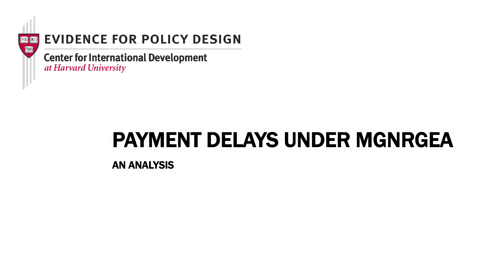

## **EVIDENCE FOR POLICY DESIGN**

**Center for International Development** at Harvard University

## PAYMENT DELAYS UNDER MGNRGEA

AN ANALYSIS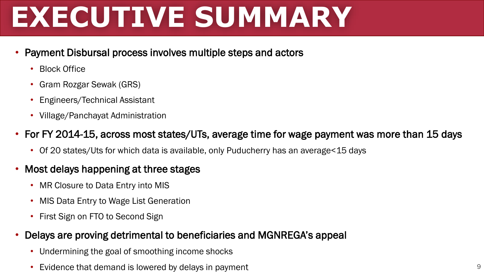# **EXECUTIVE SUMMARY**

#### • Payment Disbursal process involves multiple steps and actors

- Block Office
- Gram Rozgar Sewak (GRS)
- Engineers/Technical Assistant
- Village/Panchayat Administration

### • For FY 2014-15, across most states/UTs, average time for wage payment was more than 15 days

• Of 20 states/Uts for which data is available, only Puducherry has an average<15 days

### • Most delays happening at three stages

- MR Closure to Data Entry into MIS
- MIS Data Entry to Wage List Generation
- First Sign on FTO to Second Sign

#### • Delays are proving detrimental to beneficiaries and MGNREGA's appeal

- Undermining the goal of smoothing income shocks
- Evidence that demand is lowered by delays in payment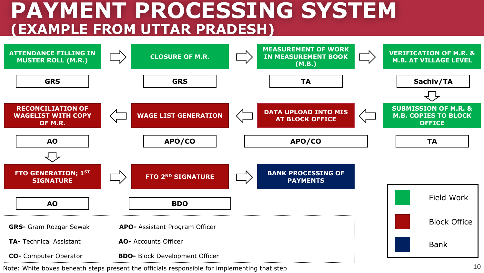## **PAYMENT PROCESSING SYSTEM (EXAMPLE FROM UTTAR PRADESH)**



Note: White boxes beneath steps present the officials responsible for implementing that step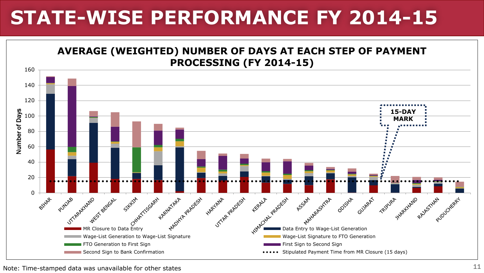## **STATE-WISE PERFORMANCE FY 2014-15**



Note: Time-stamped data was unavailable for other states  $11$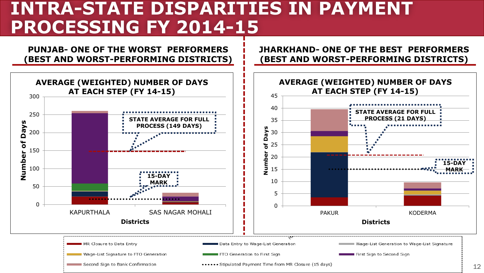## **INTRA-STATE DISPARITIES IN PAYMENT PROCESSING FY 2014-15**

**PUNJAB- ONE OF THE WORST PERFORMERS (BEST AND WORST-PERFORMING DISTRICTS)** **JHARKHAND- ONE OF THE BEST PERFORMERS (BEST AND WORST-PERFORMING DISTRICTS)**

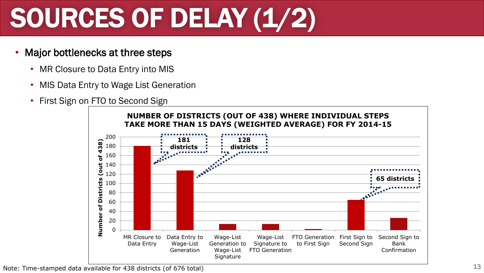# SOURCES OF DELAY (1/2)

- Major bottlenecks at three steps
	- MR Closure to Data Entry into MIS
	- MIS Data Entry to Wage List Generation
	- First Sign on FTO to Second Sign



Note: Time-stamped data available for 438 districts (of 676 total)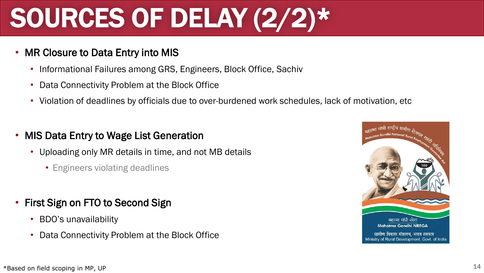# SOURCES OF DELAY (2/2)\*

- MR Closure to Data Entry into MIS
	- Informational Failures among GRS, Engineers, Block Office, Sachiv
	- Data Connectivity Problem at the Block Office
	- Violation of deadlines by officials due to over-burdened work schedules, lack of motivation, etc
- MIS Data Entry to Wage List Generation
	- Uploading only MR details in time, and not MB details
		- Engineers violating deadlines
- First Sign on FTO to Second Sign
	- BDO's unavailability
	- Data Connectivity Problem at the Block Office

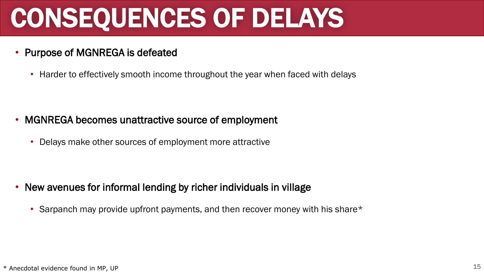# CONSEQUENCES OF DELAYS

#### • Purpose of MGNREGA is defeated

• Harder to effectively smooth income throughout the year when faced with delays

### • MGNREGA becomes unattractive source of employment

• Delays make other sources of employment more attractive

- New avenues for informal lending by richer individuals in village
	- Sarpanch may provide upfront payments, and then recover money with his share\*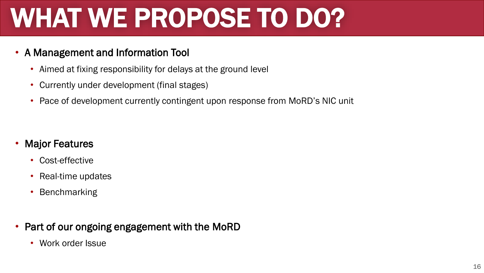# WHAT WE PROPOSE TO DO?

#### • A Management and Information Tool

- Aimed at fixing responsibility for delays at the ground level
- Currently under development (final stages)
- Pace of development currently contingent upon response from MoRD's NIC unit

### **Major Features**

- Cost-effective
- Real-time updates
- Benchmarking

#### • Part of our ongoing engagement with the MoRD

• Work order Issue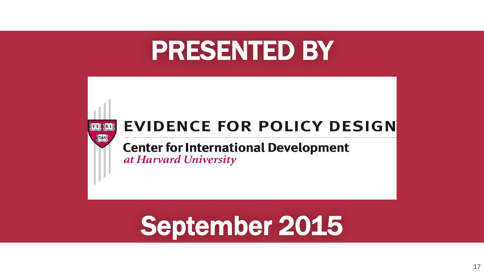## PRESENTED BY



## **EVIDENCE FOR POLICY DESIGN**

**Center for International Development** at Harvard University

## September 2015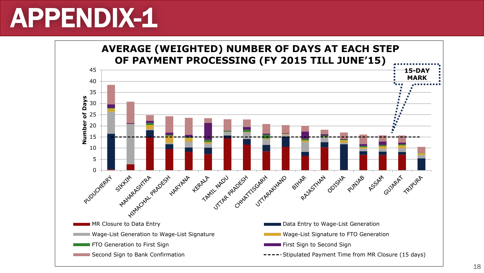## APPENDIX-1